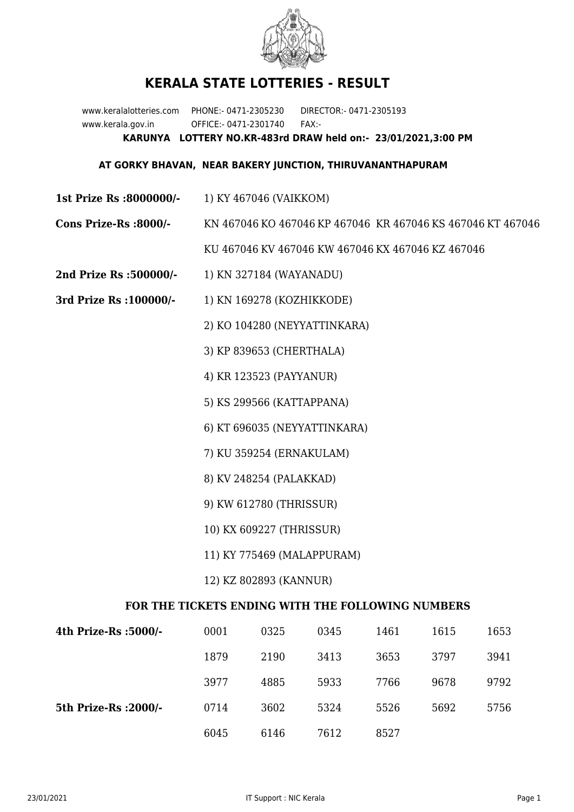

## **KERALA STATE LOTTERIES - RESULT**

www.keralalotteries.com PHONE:- 0471-2305230 DIRECTOR:- 0471-2305193 www.kerala.gov.in OFFICE:- 0471-2301740 FAX:- **KARUNYA LOTTERY NO.KR-483rd DRAW held on:- 23/01/2021,3:00 PM**

## **AT GORKY BHAVAN, NEAR BAKERY JUNCTION, THIRUVANANTHAPURAM**

- **1st Prize Rs :8000000/-** 1) KY 467046 (VAIKKOM)
- **Cons Prize-Rs :8000/-** KN 467046 KO 467046 KP 467046 KR 467046 KS 467046 KT 467046

KU 467046 KV 467046 KW 467046 KX 467046 KZ 467046

- **2nd Prize Rs :500000/-** 1) KN 327184 (WAYANADU)
- **3rd Prize Rs :100000/-** 1) KN 169278 (KOZHIKKODE)

2) KO 104280 (NEYYATTINKARA)

3) KP 839653 (CHERTHALA)

4) KR 123523 (PAYYANUR)

5) KS 299566 (KATTAPPANA)

6) KT 696035 (NEYYATTINKARA)

7) KU 359254 (ERNAKULAM)

- 8) KV 248254 (PALAKKAD)
- 9) KW 612780 (THRISSUR)
- 10) KX 609227 (THRISSUR)
- 11) KY 775469 (MALAPPURAM)
- 12) KZ 802893 (KANNUR)

## **FOR THE TICKETS ENDING WITH THE FOLLOWING NUMBERS**

| 4th Prize-Rs :5000/-  | 0001 | 0325 | 0345 | 1461 | 1615 | 1653 |
|-----------------------|------|------|------|------|------|------|
|                       | 1879 | 2190 | 3413 | 3653 | 3797 | 3941 |
|                       | 3977 | 4885 | 5933 | 7766 | 9678 | 9792 |
| 5th Prize-Rs : 2000/- | 0714 | 3602 | 5324 | 5526 | 5692 | 5756 |
|                       | 6045 | 6146 | 7612 | 8527 |      |      |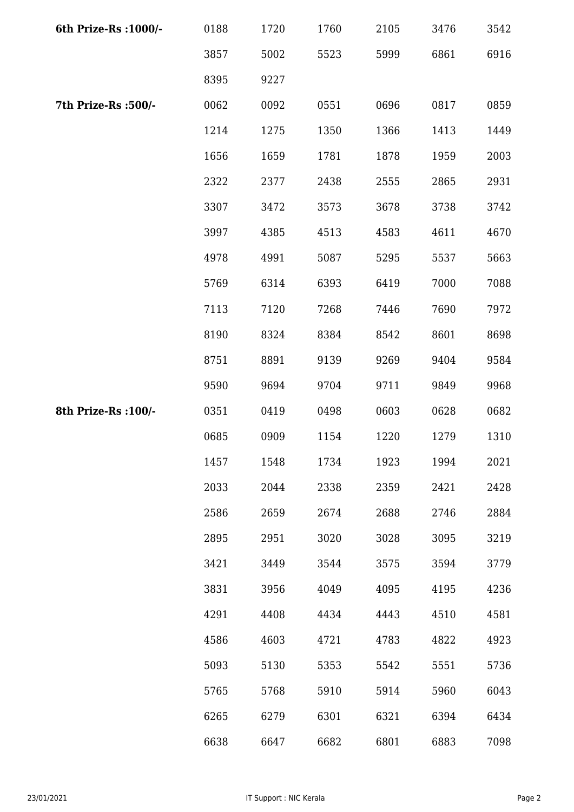| 6th Prize-Rs : 1000/- | 0188 | 1720 | 1760 | 2105 | 3476 | 3542 |
|-----------------------|------|------|------|------|------|------|
|                       | 3857 | 5002 | 5523 | 5999 | 6861 | 6916 |
|                       | 8395 | 9227 |      |      |      |      |
| 7th Prize-Rs :500/-   | 0062 | 0092 | 0551 | 0696 | 0817 | 0859 |
|                       | 1214 | 1275 | 1350 | 1366 | 1413 | 1449 |
|                       | 1656 | 1659 | 1781 | 1878 | 1959 | 2003 |
|                       | 2322 | 2377 | 2438 | 2555 | 2865 | 2931 |
|                       | 3307 | 3472 | 3573 | 3678 | 3738 | 3742 |
|                       | 3997 | 4385 | 4513 | 4583 | 4611 | 4670 |
|                       | 4978 | 4991 | 5087 | 5295 | 5537 | 5663 |
|                       | 5769 | 6314 | 6393 | 6419 | 7000 | 7088 |
|                       | 7113 | 7120 | 7268 | 7446 | 7690 | 7972 |
|                       | 8190 | 8324 | 8384 | 8542 | 8601 | 8698 |
|                       | 8751 | 8891 | 9139 | 9269 | 9404 | 9584 |
|                       | 9590 | 9694 | 9704 | 9711 | 9849 | 9968 |
| 8th Prize-Rs : 100/-  | 0351 | 0419 | 0498 | 0603 | 0628 | 0682 |
|                       | 0685 | 0909 | 1154 | 1220 | 1279 | 1310 |
|                       | 1457 | 1548 | 1734 | 1923 | 1994 | 2021 |
|                       | 2033 | 2044 | 2338 | 2359 | 2421 | 2428 |
|                       | 2586 | 2659 | 2674 | 2688 | 2746 | 2884 |
|                       | 2895 | 2951 | 3020 | 3028 | 3095 | 3219 |
|                       | 3421 | 3449 | 3544 | 3575 | 3594 | 3779 |
|                       | 3831 | 3956 | 4049 | 4095 | 4195 | 4236 |
|                       | 4291 | 4408 | 4434 | 4443 | 4510 | 4581 |
|                       | 4586 | 4603 | 4721 | 4783 | 4822 | 4923 |
|                       | 5093 | 5130 | 5353 | 5542 | 5551 | 5736 |
|                       | 5765 | 5768 | 5910 | 5914 | 5960 | 6043 |
|                       | 6265 | 6279 | 6301 | 6321 | 6394 | 6434 |
|                       | 6638 | 6647 | 6682 | 6801 | 6883 | 7098 |